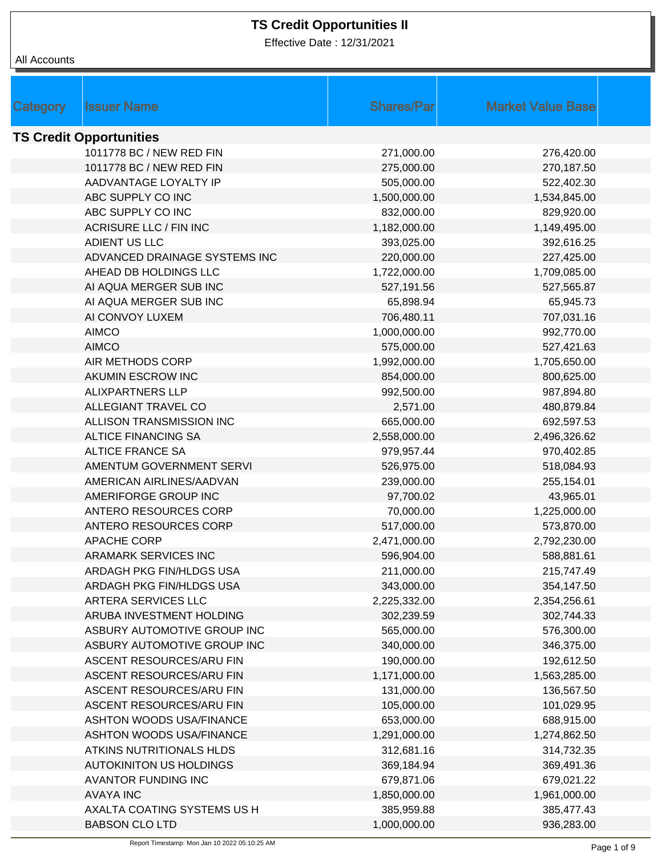Effective Date : 12/31/2021

| Category | <b>Issuer Name</b>              | <b>Shares/Par</b> | <b>Market Value Base</b> |  |
|----------|---------------------------------|-------------------|--------------------------|--|
|          |                                 |                   |                          |  |
|          | <b>TS Credit Opportunities</b>  |                   |                          |  |
|          | 1011778 BC / NEW RED FIN        | 271,000.00        | 276,420.00               |  |
|          | 1011778 BC / NEW RED FIN        | 275,000.00        | 270,187.50               |  |
|          | AADVANTAGE LOYALTY IP           | 505,000.00        | 522,402.30               |  |
|          | ABC SUPPLY CO INC               | 1,500,000.00      | 1,534,845.00             |  |
|          | ABC SUPPLY CO INC               | 832,000.00        | 829,920.00               |  |
|          | <b>ACRISURE LLC / FIN INC</b>   | 1,182,000.00      | 1,149,495.00             |  |
|          | ADIENT US LLC                   | 393,025.00        | 392,616.25               |  |
|          | ADVANCED DRAINAGE SYSTEMS INC   | 220,000.00        | 227,425.00               |  |
|          | AHEAD DB HOLDINGS LLC           | 1,722,000.00      | 1,709,085.00             |  |
|          | AI AQUA MERGER SUB INC          | 527,191.56        | 527,565.87               |  |
|          | AI AQUA MERGER SUB INC          | 65,898.94         | 65,945.73                |  |
|          | AI CONVOY LUXEM                 | 706,480.11        | 707,031.16               |  |
|          | <b>AIMCO</b>                    | 1,000,000.00      | 992,770.00               |  |
|          | <b>AIMCO</b>                    | 575,000.00        | 527,421.63               |  |
|          | AIR METHODS CORP                | 1,992,000.00      | 1,705,650.00             |  |
|          | AKUMIN ESCROW INC               | 854,000.00        | 800,625.00               |  |
|          | <b>ALIXPARTNERS LLP</b>         | 992,500.00        | 987,894.80               |  |
|          | ALLEGIANT TRAVEL CO             | 2,571.00          | 480,879.84               |  |
|          | ALLISON TRANSMISSION INC        | 665,000.00        | 692,597.53               |  |
|          | <b>ALTICE FINANCING SA</b>      | 2,558,000.00      | 2,496,326.62             |  |
|          | <b>ALTICE FRANCE SA</b>         | 979,957.44        | 970,402.85               |  |
|          | AMENTUM GOVERNMENT SERVI        | 526,975.00        | 518,084.93               |  |
|          | AMERICAN AIRLINES/AADVAN        | 239,000.00        | 255,154.01               |  |
|          | AMERIFORGE GROUP INC            | 97,700.02         | 43,965.01                |  |
|          | ANTERO RESOURCES CORP           | 70,000.00         | 1,225,000.00             |  |
|          | ANTERO RESOURCES CORP           | 517,000.00        | 573,870.00               |  |
|          | <b>APACHE CORP</b>              | 2,471,000.00      | 2,792,230.00             |  |
|          | ARAMARK SERVICES INC            | 596,904.00        | 588,881.61               |  |
|          | ARDAGH PKG FIN/HLDGS USA        | 211,000.00        | 215,747.49               |  |
|          | ARDAGH PKG FIN/HLDGS USA        | 343,000.00        | 354,147.50               |  |
|          | ARTERA SERVICES LLC             | 2,225,332.00      | 2,354,256.61             |  |
|          | ARUBA INVESTMENT HOLDING        | 302,239.59        | 302,744.33               |  |
|          | ASBURY AUTOMOTIVE GROUP INC     | 565,000.00        | 576,300.00               |  |
|          | ASBURY AUTOMOTIVE GROUP INC     | 340,000.00        | 346,375.00               |  |
|          | ASCENT RESOURCES/ARU FIN        | 190,000.00        | 192,612.50               |  |
|          | ASCENT RESOURCES/ARU FIN        | 1,171,000.00      | 1,563,285.00             |  |
|          | ASCENT RESOURCES/ARU FIN        | 131,000.00        | 136,567.50               |  |
|          | ASCENT RESOURCES/ARU FIN        | 105,000.00        | 101,029.95               |  |
|          | <b>ASHTON WOODS USA/FINANCE</b> | 653,000.00        | 688,915.00               |  |
|          | <b>ASHTON WOODS USA/FINANCE</b> | 1,291,000.00      | 1,274,862.50             |  |
|          | ATKINS NUTRITIONALS HLDS        | 312,681.16        | 314,732.35               |  |
|          | <b>AUTOKINITON US HOLDINGS</b>  | 369,184.94        | 369,491.36               |  |
|          | <b>AVANTOR FUNDING INC</b>      | 679,871.06        | 679,021.22               |  |
|          | <b>AVAYA INC</b>                | 1,850,000.00      | 1,961,000.00             |  |
|          | AXALTA COATING SYSTEMS US H     | 385,959.88        | 385,477.43               |  |
|          | <b>BABSON CLO LTD</b>           | 1,000,000.00      | 936,283.00               |  |
|          |                                 |                   |                          |  |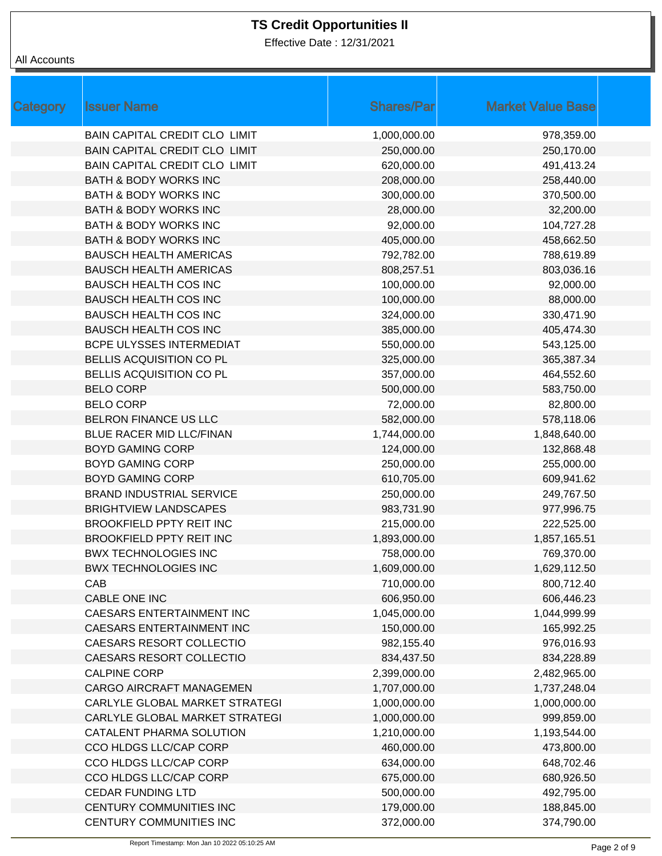Effective Date : 12/31/2021

| Category | <b>Issuer Name</b>                   | <b>Shares/Par</b> | <b>Market Value Base</b> |
|----------|--------------------------------------|-------------------|--------------------------|
|          | <b>BAIN CAPITAL CREDIT CLO LIMIT</b> | 1,000,000.00      | 978,359.00               |
|          | BAIN CAPITAL CREDIT CLO LIMIT        | 250,000.00        | 250,170.00               |
|          | BAIN CAPITAL CREDIT CLO LIMIT        | 620,000.00        | 491,413.24               |
|          | <b>BATH &amp; BODY WORKS INC</b>     | 208,000.00        | 258,440.00               |
|          | <b>BATH &amp; BODY WORKS INC</b>     | 300,000.00        | 370,500.00               |
|          | <b>BATH &amp; BODY WORKS INC</b>     | 28,000.00         | 32,200.00                |
|          | <b>BATH &amp; BODY WORKS INC</b>     | 92,000.00         | 104,727.28               |
|          | <b>BATH &amp; BODY WORKS INC</b>     | 405,000.00        | 458,662.50               |
|          | <b>BAUSCH HEALTH AMERICAS</b>        | 792,782.00        | 788,619.89               |
|          | <b>BAUSCH HEALTH AMERICAS</b>        | 808,257.51        | 803,036.16               |
|          | <b>BAUSCH HEALTH COS INC</b>         | 100,000.00        | 92,000.00                |
|          | <b>BAUSCH HEALTH COS INC</b>         | 100,000.00        | 88,000.00                |
|          | <b>BAUSCH HEALTH COS INC</b>         | 324,000.00        | 330,471.90               |
|          | <b>BAUSCH HEALTH COS INC</b>         | 385,000.00        | 405,474.30               |
|          | <b>BCPE ULYSSES INTERMEDIAT</b>      | 550,000.00        | 543,125.00               |
|          | BELLIS ACQUISITION CO PL             | 325,000.00        | 365,387.34               |
|          | BELLIS ACQUISITION CO PL             | 357,000.00        | 464,552.60               |
|          | <b>BELO CORP</b>                     | 500,000.00        | 583,750.00               |
|          | <b>BELO CORP</b>                     | 72,000.00         | 82,800.00                |
|          | BELRON FINANCE US LLC                | 582,000.00        | 578,118.06               |
|          | BLUE RACER MID LLC/FINAN             | 1,744,000.00      | 1,848,640.00             |
|          | <b>BOYD GAMING CORP</b>              | 124,000.00        | 132,868.48               |
|          | <b>BOYD GAMING CORP</b>              | 250,000.00        | 255,000.00               |
|          | <b>BOYD GAMING CORP</b>              | 610,705.00        | 609,941.62               |
|          | <b>BRAND INDUSTRIAL SERVICE</b>      | 250,000.00        | 249,767.50               |
|          | <b>BRIGHTVIEW LANDSCAPES</b>         | 983,731.90        | 977,996.75               |
|          | <b>BROOKFIELD PPTY REIT INC</b>      | 215,000.00        | 222,525.00               |
|          | <b>BROOKFIELD PPTY REIT INC</b>      | 1,893,000.00      | 1,857,165.51             |
|          | <b>BWX TECHNOLOGIES INC</b>          | 758,000.00        | 769,370.00               |
|          | <b>BWX TECHNOLOGIES INC</b>          | 1,609,000.00      | 1,629,112.50             |
|          | CAB                                  | 710,000.00        | 800,712.40               |
|          | CABLE ONE INC                        | 606,950.00        | 606,446.23               |
|          | CAESARS ENTERTAINMENT INC            | 1,045,000.00      | 1,044,999.99             |
|          | CAESARS ENTERTAINMENT INC            | 150,000.00        | 165,992.25               |
|          | CAESARS RESORT COLLECTIO             | 982,155.40        | 976,016.93               |
|          | CAESARS RESORT COLLECTIO             | 834,437.50        | 834,228.89               |
|          | <b>CALPINE CORP</b>                  | 2,399,000.00      | 2,482,965.00             |
|          | CARGO AIRCRAFT MANAGEMEN             | 1,707,000.00      | 1,737,248.04             |
|          | CARLYLE GLOBAL MARKET STRATEGI       | 1,000,000.00      | 1,000,000.00             |
|          | CARLYLE GLOBAL MARKET STRATEGI       | 1,000,000.00      | 999,859.00               |
|          | CATALENT PHARMA SOLUTION             | 1,210,000.00      | 1,193,544.00             |
|          | CCO HLDGS LLC/CAP CORP               | 460,000.00        | 473,800.00               |
|          | CCO HLDGS LLC/CAP CORP               | 634,000.00        | 648,702.46               |
|          | CCO HLDGS LLC/CAP CORP               | 675,000.00        | 680,926.50               |
|          | <b>CEDAR FUNDING LTD</b>             | 500,000.00        | 492,795.00               |
|          | CENTURY COMMUNITIES INC              | 179,000.00        | 188,845.00               |
|          | CENTURY COMMUNITIES INC              | 372,000.00        | 374,790.00               |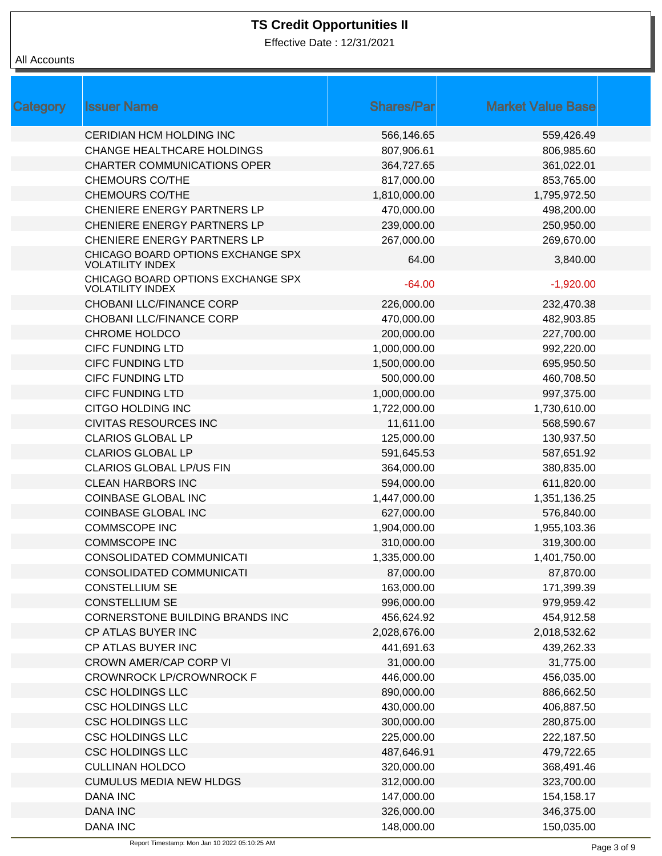Effective Date : 12/31/2021

| Category | <b>Issuer Name</b>                                            | <b>Shares/Par</b> | <b>Market Value Base</b> |  |
|----------|---------------------------------------------------------------|-------------------|--------------------------|--|
|          | <b>CERIDIAN HCM HOLDING INC</b>                               | 566,146.65        | 559,426.49               |  |
|          | <b>CHANGE HEALTHCARE HOLDINGS</b>                             | 807,906.61        | 806,985.60               |  |
|          | <b>CHARTER COMMUNICATIONS OPER</b>                            | 364,727.65        | 361,022.01               |  |
|          | <b>CHEMOURS CO/THE</b>                                        | 817,000.00        | 853,765.00               |  |
|          | <b>CHEMOURS CO/THE</b>                                        | 1,810,000.00      | 1,795,972.50             |  |
|          | CHENIERE ENERGY PARTNERS LP                                   | 470,000.00        | 498,200.00               |  |
|          | CHENIERE ENERGY PARTNERS LP                                   | 239,000.00        | 250,950.00               |  |
|          | CHENIERE ENERGY PARTNERS LP                                   | 267,000.00        | 269,670.00               |  |
|          | CHICAGO BOARD OPTIONS EXCHANGE SPX<br><b>VOLATILITY INDEX</b> | 64.00             | 3,840.00                 |  |
|          | CHICAGO BOARD OPTIONS EXCHANGE SPX<br><b>VOLATILITY INDEX</b> | $-64.00$          | $-1,920.00$              |  |
|          | CHOBANI LLC/FINANCE CORP                                      | 226,000.00        | 232,470.38               |  |
|          | CHOBANI LLC/FINANCE CORP                                      | 470,000.00        | 482,903.85               |  |
|          | <b>CHROME HOLDCO</b>                                          | 200,000.00        | 227,700.00               |  |
|          | <b>CIFC FUNDING LTD</b>                                       | 1,000,000.00      | 992,220.00               |  |
|          | <b>CIFC FUNDING LTD</b>                                       | 1,500,000.00      | 695,950.50               |  |
|          | <b>CIFC FUNDING LTD</b>                                       | 500,000.00        | 460,708.50               |  |
|          | <b>CIFC FUNDING LTD</b>                                       | 1,000,000.00      | 997,375.00               |  |
|          | CITGO HOLDING INC                                             | 1,722,000.00      | 1,730,610.00             |  |
|          | <b>CIVITAS RESOURCES INC</b>                                  | 11,611.00         | 568,590.67               |  |
|          | <b>CLARIOS GLOBAL LP</b>                                      | 125,000.00        | 130,937.50               |  |
|          | <b>CLARIOS GLOBAL LP</b>                                      | 591,645.53        | 587,651.92               |  |
|          | <b>CLARIOS GLOBAL LP/US FIN</b>                               | 364,000.00        | 380,835.00               |  |
|          | <b>CLEAN HARBORS INC</b>                                      | 594,000.00        | 611,820.00               |  |
|          | <b>COINBASE GLOBAL INC</b>                                    | 1,447,000.00      | 1,351,136.25             |  |
|          | <b>COINBASE GLOBAL INC</b>                                    | 627,000.00        | 576,840.00               |  |
|          | <b>COMMSCOPE INC</b>                                          | 1,904,000.00      | 1,955,103.36             |  |
|          | <b>COMMSCOPE INC</b>                                          | 310,000.00        | 319,300.00               |  |
|          | CONSOLIDATED COMMUNICATI                                      | 1,335,000.00      | 1,401,750.00             |  |
|          | CONSOLIDATED COMMUNICATI                                      | 87,000.00         | 87,870.00                |  |
|          | <b>CONSTELLIUM SE</b>                                         | 163,000.00        | 171,399.39               |  |
|          | <b>CONSTELLIUM SE</b>                                         | 996,000.00        | 979,959.42               |  |
|          | CORNERSTONE BUILDING BRANDS INC                               | 456,624.92        | 454,912.58               |  |
|          | CP ATLAS BUYER INC                                            | 2,028,676.00      | 2,018,532.62             |  |
|          | CP ATLAS BUYER INC                                            | 441,691.63        | 439,262.33               |  |
|          | <b>CROWN AMER/CAP CORP VI</b>                                 | 31,000.00         | 31,775.00                |  |
|          | <b>CROWNROCK LP/CROWNROCK F</b>                               | 446,000.00        | 456,035.00               |  |
|          | <b>CSC HOLDINGS LLC</b>                                       | 890,000.00        | 886,662.50               |  |
|          | <b>CSC HOLDINGS LLC</b>                                       | 430,000.00        | 406,887.50               |  |
|          | <b>CSC HOLDINGS LLC</b>                                       | 300,000.00        | 280,875.00               |  |
|          | <b>CSC HOLDINGS LLC</b>                                       | 225,000.00        | 222,187.50               |  |
|          | <b>CSC HOLDINGS LLC</b>                                       | 487,646.91        | 479,722.65               |  |
|          | <b>CULLINAN HOLDCO</b>                                        | 320,000.00        | 368,491.46               |  |
|          | <b>CUMULUS MEDIA NEW HLDGS</b>                                | 312,000.00        | 323,700.00               |  |
|          | <b>DANA INC</b>                                               | 147,000.00        | 154,158.17               |  |
|          | <b>DANA INC</b>                                               | 326,000.00        | 346,375.00               |  |
|          | <b>DANA INC</b>                                               | 148,000.00        | 150,035.00               |  |
|          |                                                               |                   |                          |  |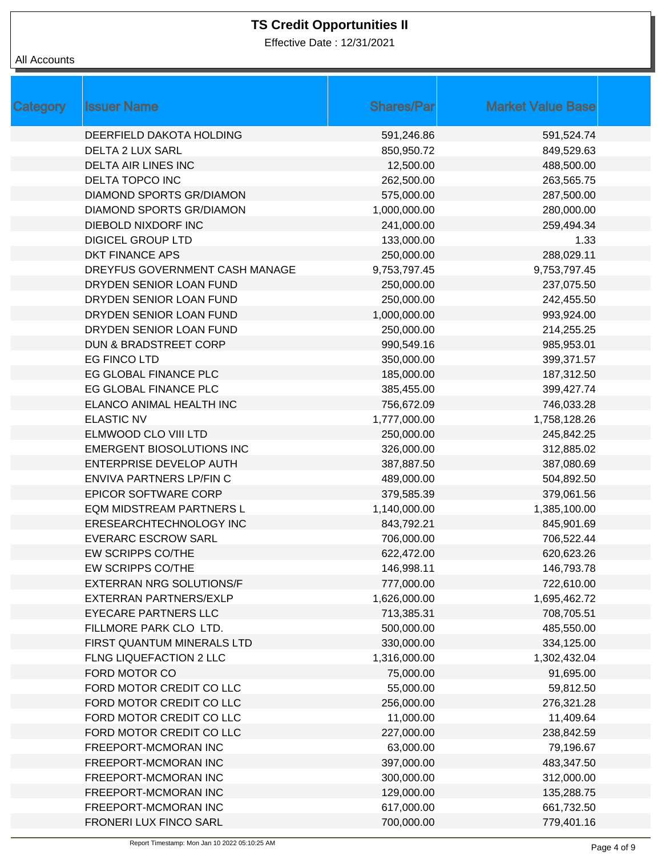Effective Date : 12/31/2021

| Category | <b>Issuer Name</b>               | <b>Shares/Par</b> | <b>Market Value Base</b> |
|----------|----------------------------------|-------------------|--------------------------|
|          | DEERFIELD DAKOTA HOLDING         | 591,246.86        | 591,524.74               |
|          | <b>DELTA 2 LUX SARL</b>          | 850,950.72        | 849,529.63               |
|          | <b>DELTA AIR LINES INC</b>       | 12,500.00         | 488,500.00               |
|          | DELTA TOPCO INC                  | 262,500.00        | 263,565.75               |
|          | <b>DIAMOND SPORTS GR/DIAMON</b>  | 575,000.00        | 287,500.00               |
|          | DIAMOND SPORTS GR/DIAMON         | 1,000,000.00      | 280,000.00               |
|          | <b>DIEBOLD NIXDORF INC</b>       | 241,000.00        | 259,494.34               |
|          | <b>DIGICEL GROUP LTD</b>         | 133,000.00        | 1.33                     |
|          | <b>DKT FINANCE APS</b>           | 250,000.00        | 288,029.11               |
|          | DREYFUS GOVERNMENT CASH MANAGE   | 9,753,797.45      | 9,753,797.45             |
|          | DRYDEN SENIOR LOAN FUND          | 250,000.00        | 237,075.50               |
|          | DRYDEN SENIOR LOAN FUND          | 250,000.00        | 242,455.50               |
|          | DRYDEN SENIOR LOAN FUND          | 1,000,000.00      | 993,924.00               |
|          | DRYDEN SENIOR LOAN FUND          | 250,000.00        | 214,255.25               |
|          | <b>DUN &amp; BRADSTREET CORP</b> | 990,549.16        | 985,953.01               |
|          | EG FINCO LTD                     | 350,000.00        | 399,371.57               |
|          | EG GLOBAL FINANCE PLC            | 185,000.00        | 187,312.50               |
|          | EG GLOBAL FINANCE PLC            | 385,455.00        | 399,427.74               |
|          | ELANCO ANIMAL HEALTH INC         | 756,672.09        | 746,033.28               |
|          | <b>ELASTIC NV</b>                | 1,777,000.00      | 1,758,128.26             |
|          | ELMWOOD CLO VIII LTD             | 250,000.00        | 245,842.25               |
|          | EMERGENT BIOSOLUTIONS INC        | 326,000.00        | 312,885.02               |
|          | ENTERPRISE DEVELOP AUTH          | 387,887.50        | 387,080.69               |
|          | ENVIVA PARTNERS LP/FIN C         | 489,000.00        | 504,892.50               |
|          | <b>EPICOR SOFTWARE CORP</b>      | 379,585.39        | 379,061.56               |
|          | EQM MIDSTREAM PARTNERS L         | 1,140,000.00      | 1,385,100.00             |
|          | ERESEARCHTECHNOLOGY INC          | 843,792.21        | 845,901.69               |
|          | <b>EVERARC ESCROW SARL</b>       | 706,000.00        | 706,522.44               |
|          | EW SCRIPPS CO/THE                | 622,472.00        | 620,623.26               |
|          | EW SCRIPPS CO/THE                | 146,998.11        | 146,793.78               |
|          | <b>EXTERRAN NRG SOLUTIONS/F</b>  | 777,000.00        | 722,610.00               |
|          | <b>EXTERRAN PARTNERS/EXLP</b>    | 1,626,000.00      | 1,695,462.72             |
|          | <b>EYECARE PARTNERS LLC</b>      | 713,385.31        | 708,705.51               |
|          | FILLMORE PARK CLO LTD.           | 500,000.00        | 485,550.00               |
|          | FIRST QUANTUM MINERALS LTD       | 330,000.00        | 334,125.00               |
|          | FLNG LIQUEFACTION 2 LLC          | 1,316,000.00      | 1,302,432.04             |
|          | FORD MOTOR CO                    | 75,000.00         | 91,695.00                |
|          | FORD MOTOR CREDIT CO LLC         | 55,000.00         | 59,812.50                |
|          | FORD MOTOR CREDIT CO LLC         | 256,000.00        | 276,321.28               |
|          | FORD MOTOR CREDIT CO LLC         | 11,000.00         | 11,409.64                |
|          | FORD MOTOR CREDIT CO LLC         | 227,000.00        | 238,842.59               |
|          | FREEPORT-MCMORAN INC             | 63,000.00         | 79,196.67                |
|          | FREEPORT-MCMORAN INC             | 397,000.00        | 483,347.50               |
|          | FREEPORT-MCMORAN INC             | 300,000.00        | 312,000.00               |
|          | FREEPORT-MCMORAN INC             | 129,000.00        | 135,288.75               |
|          | FREEPORT-MCMORAN INC             | 617,000.00        | 661,732.50               |
|          | FRONERI LUX FINCO SARL           | 700,000.00        | 779,401.16               |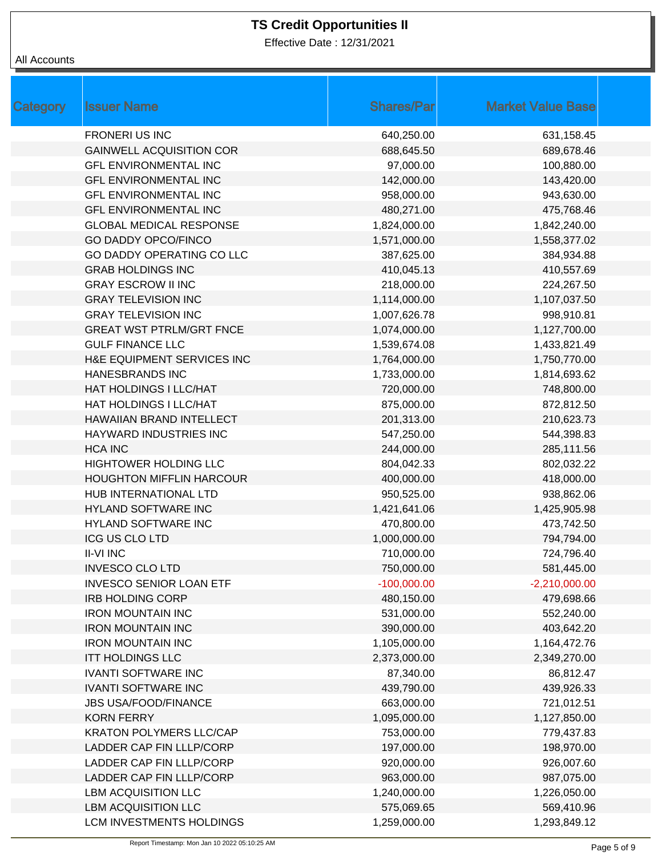Effective Date : 12/31/2021

| <b>Category</b> | <b>Issuer Name</b>              | <b>Shares/Par</b> | <b>Market Value Base</b> |
|-----------------|---------------------------------|-------------------|--------------------------|
|                 | <b>FRONERI US INC</b>           | 640,250.00        | 631,158.45               |
|                 | <b>GAINWELL ACQUISITION COR</b> | 688,645.50        | 689,678.46               |
|                 | <b>GFL ENVIRONMENTAL INC</b>    | 97,000.00         | 100,880.00               |
|                 | <b>GFL ENVIRONMENTAL INC</b>    | 142,000.00        | 143,420.00               |
|                 | <b>GFL ENVIRONMENTAL INC</b>    | 958,000.00        | 943,630.00               |
|                 | <b>GFL ENVIRONMENTAL INC</b>    | 480,271.00        | 475,768.46               |
|                 | <b>GLOBAL MEDICAL RESPONSE</b>  | 1,824,000.00      | 1,842,240.00             |
|                 | <b>GO DADDY OPCO/FINCO</b>      | 1,571,000.00      | 1,558,377.02             |
|                 | GO DADDY OPERATING CO LLC       | 387,625.00        | 384,934.88               |
|                 | <b>GRAB HOLDINGS INC</b>        | 410,045.13        | 410,557.69               |
|                 | <b>GRAY ESCROW II INC</b>       | 218,000.00        | 224,267.50               |
|                 | <b>GRAY TELEVISION INC</b>      | 1,114,000.00      | 1,107,037.50             |
|                 | <b>GRAY TELEVISION INC</b>      | 1,007,626.78      | 998,910.81               |
|                 | <b>GREAT WST PTRLM/GRT FNCE</b> | 1,074,000.00      | 1,127,700.00             |
|                 | <b>GULF FINANCE LLC</b>         | 1,539,674.08      | 1,433,821.49             |
|                 | H&E EQUIPMENT SERVICES INC      | 1,764,000.00      | 1,750,770.00             |
|                 | <b>HANESBRANDS INC</b>          | 1,733,000.00      | 1,814,693.62             |
|                 | HAT HOLDINGS I LLC/HAT          | 720,000.00        | 748,800.00               |
|                 | HAT HOLDINGS I LLC/HAT          | 875,000.00        | 872,812.50               |
|                 | HAWAIIAN BRAND INTELLECT        | 201,313.00        | 210,623.73               |
|                 | HAYWARD INDUSTRIES INC          | 547,250.00        | 544,398.83               |
|                 | <b>HCA INC</b>                  | 244,000.00        | 285,111.56               |
|                 | <b>HIGHTOWER HOLDING LLC</b>    | 804,042.33        | 802,032.22               |
|                 | <b>HOUGHTON MIFFLIN HARCOUR</b> | 400,000.00        | 418,000.00               |
|                 | HUB INTERNATIONAL LTD           | 950,525.00        | 938,862.06               |
|                 | HYLAND SOFTWARE INC             | 1,421,641.06      | 1,425,905.98             |
|                 | <b>HYLAND SOFTWARE INC</b>      | 470,800.00        | 473,742.50               |
|                 | <b>ICG US CLO LTD</b>           | 1,000,000.00      | 794,794.00               |
|                 | <b>II-VI INC</b>                | 710,000.00        | 724,796.40               |
|                 | <b>INVESCO CLO LTD</b>          | 750,000.00        | 581,445.00               |
|                 | <b>INVESCO SENIOR LOAN ETF</b>  | $-100,000.00$     | $-2,210,000.00$          |
|                 | <b>IRB HOLDING CORP</b>         | 480,150.00        | 479,698.66               |
|                 | <b>IRON MOUNTAIN INC</b>        | 531,000.00        | 552,240.00               |
|                 | <b>IRON MOUNTAIN INC</b>        | 390,000.00        | 403,642.20               |
|                 | <b>IRON MOUNTAIN INC</b>        | 1,105,000.00      | 1,164,472.76             |
|                 | <b>ITT HOLDINGS LLC</b>         | 2,373,000.00      | 2,349,270.00             |
|                 | <b>IVANTI SOFTWARE INC</b>      | 87,340.00         | 86,812.47                |
|                 | <b>IVANTI SOFTWARE INC</b>      | 439,790.00        | 439,926.33               |
|                 | <b>JBS USA/FOOD/FINANCE</b>     | 663,000.00        | 721,012.51               |
|                 | <b>KORN FERRY</b>               | 1,095,000.00      | 1,127,850.00             |
|                 | <b>KRATON POLYMERS LLC/CAP</b>  | 753,000.00        | 779,437.83               |
|                 | LADDER CAP FIN LLLP/CORP        | 197,000.00        | 198,970.00               |
|                 | LADDER CAP FIN LLLP/CORP        | 920,000.00        | 926,007.60               |
|                 | LADDER CAP FIN LLLP/CORP        | 963,000.00        | 987,075.00               |
|                 | <b>LBM ACQUISITION LLC</b>      | 1,240,000.00      | 1,226,050.00             |
|                 | <b>LBM ACQUISITION LLC</b>      | 575,069.65        | 569,410.96               |
|                 | LCM INVESTMENTS HOLDINGS        | 1,259,000.00      | 1,293,849.12             |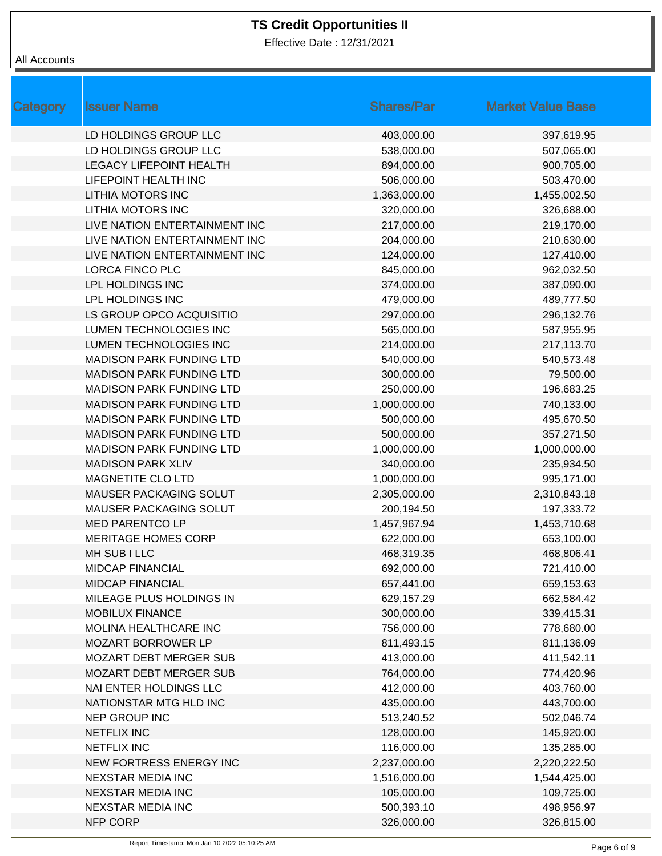Effective Date : 12/31/2021

| Category | <b>Issuer Name</b>              | <b>Shares/Par</b> | <b>Market Value Base</b> |
|----------|---------------------------------|-------------------|--------------------------|
|          | LD HOLDINGS GROUP LLC           | 403,000.00        | 397,619.95               |
|          | LD HOLDINGS GROUP LLC           | 538,000.00        | 507,065.00               |
|          | <b>LEGACY LIFEPOINT HEALTH</b>  | 894,000.00        | 900,705.00               |
|          | LIFEPOINT HEALTH INC            | 506,000.00        | 503,470.00               |
|          | LITHIA MOTORS INC               | 1,363,000.00      | 1,455,002.50             |
|          | <b>LITHIA MOTORS INC</b>        | 320,000.00        | 326,688.00               |
|          | LIVE NATION ENTERTAINMENT INC   | 217,000.00        | 219,170.00               |
|          | LIVE NATION ENTERTAINMENT INC   | 204,000.00        | 210,630.00               |
|          | LIVE NATION ENTERTAINMENT INC   | 124,000.00        | 127,410.00               |
|          | LORCA FINCO PLC                 | 845,000.00        | 962,032.50               |
|          | LPL HOLDINGS INC                | 374,000.00        | 387,090.00               |
|          | LPL HOLDINGS INC                | 479,000.00        | 489,777.50               |
|          | LS GROUP OPCO ACQUISITIO        | 297,000.00        | 296,132.76               |
|          | LUMEN TECHNOLOGIES INC          | 565,000.00        | 587,955.95               |
|          | LUMEN TECHNOLOGIES INC          | 214,000.00        | 217,113.70               |
|          | <b>MADISON PARK FUNDING LTD</b> | 540,000.00        | 540,573.48               |
|          | <b>MADISON PARK FUNDING LTD</b> | 300,000.00        | 79,500.00                |
|          | <b>MADISON PARK FUNDING LTD</b> | 250,000.00        | 196,683.25               |
|          | <b>MADISON PARK FUNDING LTD</b> | 1,000,000.00      | 740,133.00               |
|          | <b>MADISON PARK FUNDING LTD</b> | 500,000.00        | 495,670.50               |
|          | <b>MADISON PARK FUNDING LTD</b> | 500,000.00        | 357,271.50               |
|          | <b>MADISON PARK FUNDING LTD</b> | 1,000,000.00      | 1,000,000.00             |
|          | <b>MADISON PARK XLIV</b>        | 340,000.00        | 235,934.50               |
|          | MAGNETITE CLO LTD               | 1,000,000.00      | 995,171.00               |
|          | MAUSER PACKAGING SOLUT          | 2,305,000.00      | 2,310,843.18             |
|          | MAUSER PACKAGING SOLUT          | 200,194.50        | 197,333.72               |
|          | <b>MED PARENTCO LP</b>          | 1,457,967.94      | 1,453,710.68             |
|          | <b>MERITAGE HOMES CORP</b>      | 622,000.00        | 653,100.00               |
|          | MH SUB I LLC                    | 468,319.35        | 468,806.41               |
|          | <b>MIDCAP FINANCIAL</b>         | 692,000.00        | 721,410.00               |
|          | <b>MIDCAP FINANCIAL</b>         | 657,441.00        | 659,153.63               |
|          | MILEAGE PLUS HOLDINGS IN        | 629,157.29        | 662,584.42               |
|          | <b>MOBILUX FINANCE</b>          | 300,000.00        | 339,415.31               |
|          | MOLINA HEALTHCARE INC           | 756,000.00        | 778,680.00               |
|          | MOZART BORROWER LP              | 811,493.15        | 811,136.09               |
|          | MOZART DEBT MERGER SUB          | 413,000.00        | 411,542.11               |
|          | <b>MOZART DEBT MERGER SUB</b>   | 764,000.00        | 774,420.96               |
|          | NAI ENTER HOLDINGS LLC          | 412,000.00        | 403,760.00               |
|          | NATIONSTAR MTG HLD INC          | 435,000.00        | 443,700.00               |
|          | NEP GROUP INC                   | 513,240.52        | 502,046.74               |
|          | <b>NETFLIX INC</b>              | 128,000.00        | 145,920.00               |
|          | <b>NETFLIX INC</b>              | 116,000.00        | 135,285.00               |
|          | NEW FORTRESS ENERGY INC         | 2,237,000.00      | 2,220,222.50             |
|          | NEXSTAR MEDIA INC               | 1,516,000.00      | 1,544,425.00             |
|          | <b>NEXSTAR MEDIA INC</b>        | 105,000.00        | 109,725.00               |
|          | <b>NEXSTAR MEDIA INC</b>        | 500,393.10        | 498,956.97               |
|          | NFP CORP                        | 326,000.00        | 326,815.00               |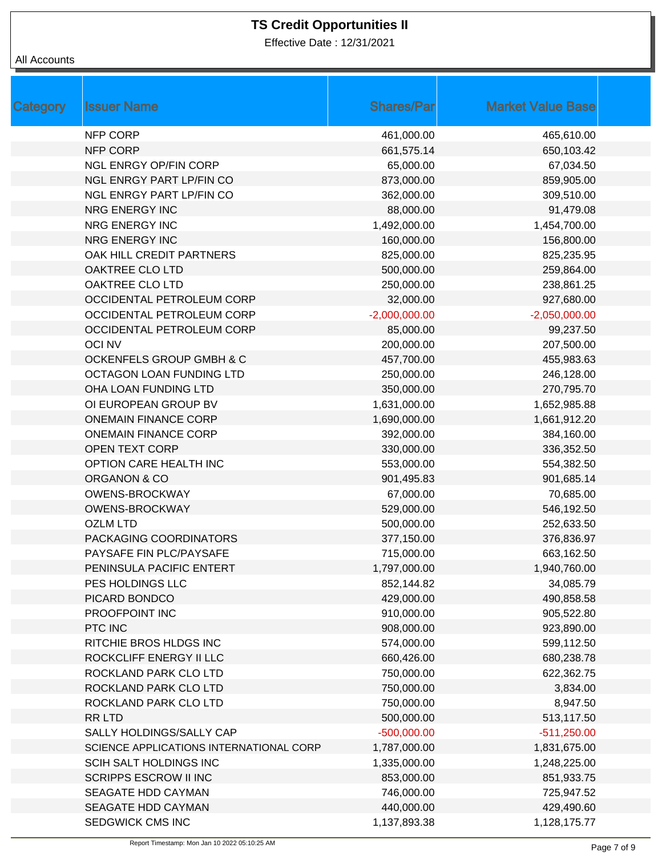Effective Date : 12/31/2021

| Category | <b>Issuer Name</b>                      | <b>Shares/Par</b> | <b>Market Value Base</b> |  |
|----------|-----------------------------------------|-------------------|--------------------------|--|
|          | NFP CORP                                | 461,000.00        | 465,610.00               |  |
|          | <b>NFP CORP</b>                         | 661,575.14        | 650,103.42               |  |
|          | <b>NGL ENRGY OP/FIN CORP</b>            | 65,000.00         | 67,034.50                |  |
|          | <b>NGL ENRGY PART LP/FIN CO</b>         | 873,000.00        | 859,905.00               |  |
|          | NGL ENRGY PART LP/FIN CO                | 362,000.00        | 309,510.00               |  |
|          | <b>NRG ENERGY INC</b>                   | 88,000.00         | 91,479.08                |  |
|          | NRG ENERGY INC                          | 1,492,000.00      | 1,454,700.00             |  |
|          | <b>NRG ENERGY INC</b>                   | 160,000.00        | 156,800.00               |  |
|          | OAK HILL CREDIT PARTNERS                | 825,000.00        | 825,235.95               |  |
|          | OAKTREE CLO LTD                         | 500,000.00        | 259,864.00               |  |
|          | OAKTREE CLO LTD                         | 250,000.00        | 238,861.25               |  |
|          | OCCIDENTAL PETROLEUM CORP               | 32,000.00         | 927,680.00               |  |
|          | OCCIDENTAL PETROLEUM CORP               | $-2,000,000.00$   | $-2,050,000.00$          |  |
|          | OCCIDENTAL PETROLEUM CORP               | 85,000.00         | 99,237.50                |  |
|          | <b>OCINV</b>                            | 200,000.00        | 207,500.00               |  |
|          | OCKENFELS GROUP GMBH & C                | 457,700.00        | 455,983.63               |  |
|          | OCTAGON LOAN FUNDING LTD                | 250,000.00        | 246,128.00               |  |
|          | OHA LOAN FUNDING LTD                    | 350,000.00        | 270,795.70               |  |
|          | OI EUROPEAN GROUP BV                    | 1,631,000.00      | 1,652,985.88             |  |
|          | <b>ONEMAIN FINANCE CORP</b>             | 1,690,000.00      | 1,661,912.20             |  |
|          | <b>ONEMAIN FINANCE CORP</b>             | 392,000.00        | 384,160.00               |  |
|          | <b>OPEN TEXT CORP</b>                   | 330,000.00        | 336,352.50               |  |
|          | OPTION CARE HEALTH INC                  | 553,000.00        | 554,382.50               |  |
|          | ORGANON & CO                            | 901,495.83        | 901,685.14               |  |
|          | OWENS-BROCKWAY                          | 67,000.00         | 70,685.00                |  |
|          | <b>OWENS-BROCKWAY</b>                   | 529,000.00        | 546,192.50               |  |
|          | <b>OZLM LTD</b>                         | 500,000.00        | 252,633.50               |  |
|          | PACKAGING COORDINATORS                  | 377,150.00        | 376,836.97               |  |
|          | PAYSAFE FIN PLC/PAYSAFE                 | 715,000.00        | 663,162.50               |  |
|          | PENINSULA PACIFIC ENTERT                | 1,797,000.00      | 1,940,760.00             |  |
|          | PES HOLDINGS LLC                        | 852,144.82        | 34,085.79                |  |
|          | PICARD BONDCO                           | 429,000.00        | 490,858.58               |  |
|          | PROOFPOINT INC                          | 910,000.00        | 905,522.80               |  |
|          | PTC INC                                 | 908,000.00        | 923,890.00               |  |
|          | RITCHIE BROS HLDGS INC                  | 574,000.00        | 599,112.50               |  |
|          | ROCKCLIFF ENERGY II LLC                 | 660,426.00        | 680,238.78               |  |
|          | ROCKLAND PARK CLO LTD                   | 750,000.00        | 622,362.75               |  |
|          | ROCKLAND PARK CLO LTD                   | 750,000.00        | 3,834.00                 |  |
|          | ROCKLAND PARK CLO LTD                   | 750,000.00        | 8,947.50                 |  |
|          | RR LTD                                  | 500,000.00        | 513,117.50               |  |
|          | SALLY HOLDINGS/SALLY CAP                | $-500,000.00$     | $-511,250.00$            |  |
|          | SCIENCE APPLICATIONS INTERNATIONAL CORP | 1,787,000.00      | 1,831,675.00             |  |
|          | SCIH SALT HOLDINGS INC                  | 1,335,000.00      | 1,248,225.00             |  |
|          | <b>SCRIPPS ESCROW II INC</b>            | 853,000.00        | 851,933.75               |  |
|          | SEAGATE HDD CAYMAN                      | 746,000.00        | 725,947.52               |  |
|          | SEAGATE HDD CAYMAN                      | 440,000.00        | 429,490.60               |  |
|          | SEDGWICK CMS INC                        | 1,137,893.38      | 1,128,175.77             |  |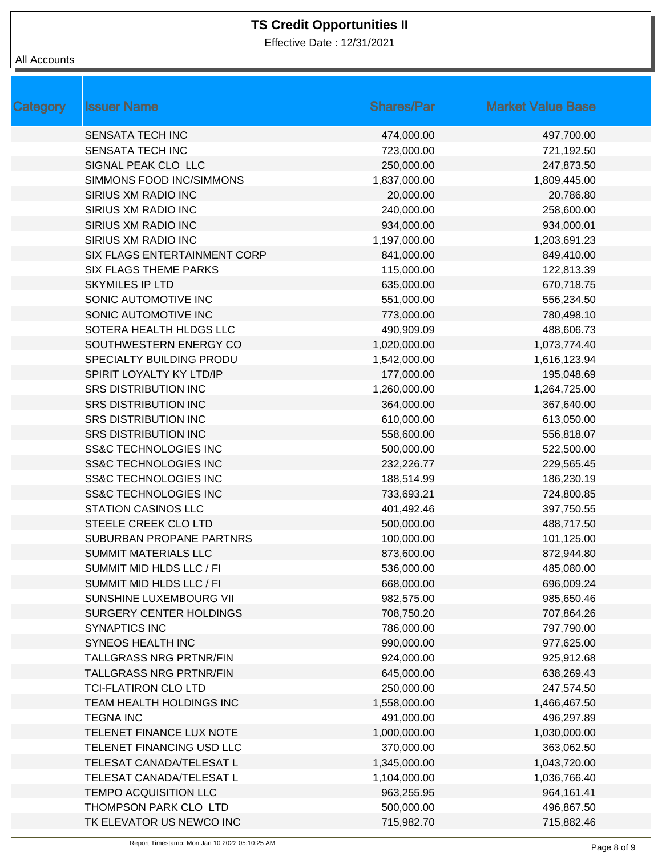Effective Date : 12/31/2021

| Category | <b>Issuer Name</b>               | <b>Shares/Par</b> | <b>Market Value Base</b> |
|----------|----------------------------------|-------------------|--------------------------|
|          | <b>SENSATA TECH INC</b>          | 474,000.00        | 497,700.00               |
|          | <b>SENSATA TECH INC</b>          | 723,000.00        | 721,192.50               |
|          | SIGNAL PEAK CLO LLC              | 250,000.00        | 247,873.50               |
|          | SIMMONS FOOD INC/SIMMONS         | 1,837,000.00      | 1,809,445.00             |
|          | SIRIUS XM RADIO INC              | 20,000.00         | 20,786.80                |
|          | SIRIUS XM RADIO INC              | 240,000.00        | 258,600.00               |
|          | SIRIUS XM RADIO INC              | 934,000.00        | 934,000.01               |
|          | SIRIUS XM RADIO INC              | 1,197,000.00      | 1,203,691.23             |
|          | SIX FLAGS ENTERTAINMENT CORP     | 841,000.00        | 849,410.00               |
|          | <b>SIX FLAGS THEME PARKS</b>     | 115,000.00        | 122,813.39               |
|          | <b>SKYMILES IP LTD</b>           | 635,000.00        | 670,718.75               |
|          | SONIC AUTOMOTIVE INC             | 551,000.00        | 556,234.50               |
|          | SONIC AUTOMOTIVE INC             | 773,000.00        | 780,498.10               |
|          | SOTERA HEALTH HLDGS LLC          | 490,909.09        | 488,606.73               |
|          | SOUTHWESTERN ENERGY CO           | 1,020,000.00      | 1,073,774.40             |
|          | SPECIALTY BUILDING PRODU         | 1,542,000.00      | 1,616,123.94             |
|          | SPIRIT LOYALTY KY LTD/IP         | 177,000.00        | 195,048.69               |
|          | <b>SRS DISTRIBUTION INC</b>      | 1,260,000.00      | 1,264,725.00             |
|          | <b>SRS DISTRIBUTION INC</b>      | 364,000.00        | 367,640.00               |
|          | <b>SRS DISTRIBUTION INC</b>      | 610,000.00        | 613,050.00               |
|          | <b>SRS DISTRIBUTION INC</b>      | 558,600.00        | 556,818.07               |
|          | <b>SS&amp;C TECHNOLOGIES INC</b> | 500,000.00        | 522,500.00               |
|          | <b>SS&amp;C TECHNOLOGIES INC</b> | 232,226.77        | 229,565.45               |
|          | <b>SS&amp;C TECHNOLOGIES INC</b> | 188,514.99        | 186,230.19               |
|          | <b>SS&amp;C TECHNOLOGIES INC</b> | 733,693.21        | 724,800.85               |
|          | <b>STATION CASINOS LLC</b>       | 401,492.46        | 397,750.55               |
|          | STEELE CREEK CLO LTD             | 500,000.00        | 488,717.50               |
|          | SUBURBAN PROPANE PARTNRS         | 100,000.00        | 101,125.00               |
|          | <b>SUMMIT MATERIALS LLC</b>      | 873,600.00        | 872,944.80               |
|          | SUMMIT MID HLDS LLC / FI         | 536,000.00        | 485,080.00               |
|          | SUMMIT MID HLDS LLC / FI         | 668,000.00        | 696,009.24               |
|          | SUNSHINE LUXEMBOURG VII          | 982,575.00        | 985,650.46               |
|          | <b>SURGERY CENTER HOLDINGS</b>   | 708,750.20        | 707,864.26               |
|          | <b>SYNAPTICS INC</b>             | 786,000.00        | 797,790.00               |
|          | SYNEOS HEALTH INC                | 990,000.00        | 977,625.00               |
|          | TALLGRASS NRG PRTNR/FIN          | 924,000.00        | 925,912.68               |
|          | <b>TALLGRASS NRG PRTNR/FIN</b>   | 645,000.00        | 638,269.43               |
|          | <b>TCI-FLATIRON CLO LTD</b>      | 250,000.00        | 247,574.50               |
|          | TEAM HEALTH HOLDINGS INC         | 1,558,000.00      | 1,466,467.50             |
|          | <b>TEGNA INC</b>                 | 491,000.00        | 496,297.89               |
|          | TELENET FINANCE LUX NOTE         | 1,000,000.00      | 1,030,000.00             |
|          | TELENET FINANCING USD LLC        | 370,000.00        | 363,062.50               |
|          | TELESAT CANADA/TELESAT L         | 1,345,000.00      | 1,043,720.00             |
|          | TELESAT CANADA/TELESAT L         | 1,104,000.00      | 1,036,766.40             |
|          | TEMPO ACQUISITION LLC            | 963,255.95        | 964,161.41               |
|          | THOMPSON PARK CLO LTD            | 500,000.00        | 496,867.50               |
|          | TK ELEVATOR US NEWCO INC         | 715,982.70        | 715,882.46               |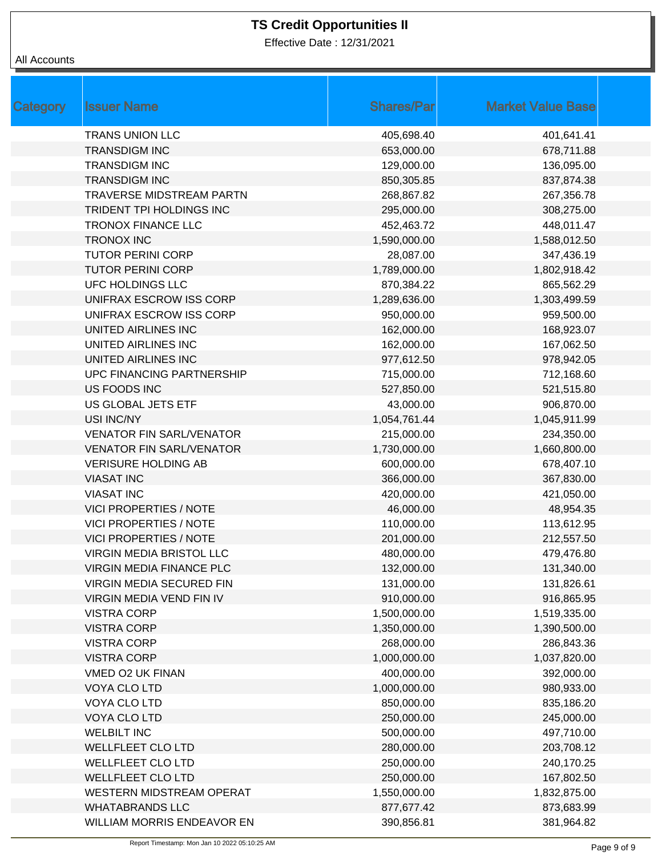Effective Date : 12/31/2021

| <b>Category</b> | <b>Issuer Name</b>               | <b>Shares/Par</b> | <b>Market Value Base</b> |
|-----------------|----------------------------------|-------------------|--------------------------|
|                 | <b>TRANS UNION LLC</b>           | 405,698.40        | 401,641.41               |
|                 | <b>TRANSDIGM INC</b>             | 653,000.00        | 678,711.88               |
|                 | <b>TRANSDIGM INC</b>             | 129,000.00        | 136,095.00               |
|                 | <b>TRANSDIGM INC</b>             | 850,305.85        | 837,874.38               |
|                 | <b>TRAVERSE MIDSTREAM PARTN</b>  | 268,867.82        | 267,356.78               |
|                 | TRIDENT TPI HOLDINGS INC         | 295,000.00        | 308,275.00               |
|                 | <b>TRONOX FINANCE LLC</b>        | 452,463.72        | 448,011.47               |
|                 | <b>TRONOX INC</b>                | 1,590,000.00      | 1,588,012.50             |
|                 | <b>TUTOR PERINI CORP</b>         | 28,087.00         | 347,436.19               |
|                 | <b>TUTOR PERINI CORP</b>         | 1,789,000.00      | 1,802,918.42             |
|                 | UFC HOLDINGS LLC                 | 870,384.22        | 865,562.29               |
|                 | UNIFRAX ESCROW ISS CORP          | 1,289,636.00      | 1,303,499.59             |
|                 | UNIFRAX ESCROW ISS CORP          | 950,000.00        | 959,500.00               |
|                 | UNITED AIRLINES INC              | 162,000.00        | 168,923.07               |
|                 | UNITED AIRLINES INC              | 162,000.00        | 167,062.50               |
|                 | UNITED AIRLINES INC              | 977,612.50        | 978,942.05               |
|                 | <b>UPC FINANCING PARTNERSHIP</b> | 715,000.00        | 712,168.60               |
|                 | US FOODS INC                     | 527,850.00        | 521,515.80               |
|                 | US GLOBAL JETS ETF               | 43,000.00         | 906,870.00               |
|                 | USI INC/NY                       | 1,054,761.44      | 1,045,911.99             |
|                 | <b>VENATOR FIN SARL/VENATOR</b>  | 215,000.00        | 234,350.00               |
|                 | <b>VENATOR FIN SARL/VENATOR</b>  | 1,730,000.00      | 1,660,800.00             |
|                 | <b>VERISURE HOLDING AB</b>       | 600,000.00        | 678,407.10               |
|                 | <b>VIASAT INC</b>                | 366,000.00        | 367,830.00               |
|                 | <b>VIASAT INC</b>                | 420,000.00        | 421,050.00               |
|                 | <b>VICI PROPERTIES / NOTE</b>    | 46,000.00         | 48,954.35                |
|                 | <b>VICI PROPERTIES / NOTE</b>    | 110,000.00        | 113,612.95               |
|                 | <b>VICI PROPERTIES / NOTE</b>    | 201,000.00        | 212,557.50               |
|                 | <b>VIRGIN MEDIA BRISTOL LLC</b>  | 480,000.00        | 479,476.80               |
|                 | VIRGIN MEDIA FINANCE PLC         | 132,000.00        | 131,340.00               |
|                 | VIRGIN MEDIA SECURED FIN         | 131,000.00        | 131,826.61               |
|                 | <b>VIRGIN MEDIA VEND FIN IV</b>  | 910,000.00        | 916,865.95               |
|                 | <b>VISTRA CORP</b>               | 1,500,000.00      | 1,519,335.00             |
|                 | <b>VISTRA CORP</b>               | 1,350,000.00      | 1,390,500.00             |
|                 | <b>VISTRA CORP</b>               | 268,000.00        | 286,843.36               |
|                 | <b>VISTRA CORP</b>               | 1,000,000.00      | 1,037,820.00             |
|                 | VMED O2 UK FINAN                 | 400,000.00        | 392,000.00               |
|                 | <b>VOYA CLO LTD</b>              | 1,000,000.00      | 980,933.00               |
|                 | <b>VOYA CLO LTD</b>              | 850,000.00        | 835,186.20               |
|                 | VOYA CLO LTD                     | 250,000.00        | 245,000.00               |
|                 | <b>WELBILT INC</b>               | 500,000.00        | 497,710.00               |
|                 | <b>WELLFLEET CLO LTD</b>         | 280,000.00        | 203,708.12               |
|                 | <b>WELLFLEET CLO LTD</b>         | 250,000.00        | 240,170.25               |
|                 | WELLFLEET CLO LTD                | 250,000.00        | 167,802.50               |
|                 | <b>WESTERN MIDSTREAM OPERAT</b>  | 1,550,000.00      | 1,832,875.00             |
|                 | <b>WHATABRANDS LLC</b>           | 877,677.42        | 873,683.99               |
|                 | WILLIAM MORRIS ENDEAVOR EN       | 390,856.81        | 381,964.82               |